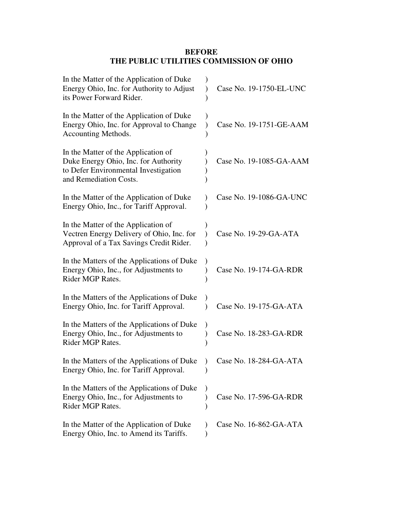## **BEFORE THE PUBLIC UTILITIES COMMISSION OF OHIO**

| In the Matter of the Application of Duke<br>Energy Ohio, Inc. for Authority to Adjust<br>its Power Forward Rider.                             | Case No. 19-1750-EL-UNC |
|-----------------------------------------------------------------------------------------------------------------------------------------------|-------------------------|
| In the Matter of the Application of Duke<br>Energy Ohio, Inc. for Approval to Change<br>Accounting Methods.                                   | Case No. 19-1751-GE-AAM |
| In the Matter of the Application of<br>Duke Energy Ohio, Inc. for Authority<br>to Defer Environmental Investigation<br>and Remediation Costs. | Case No. 19-1085-GA-AAM |
| In the Matter of the Application of Duke<br>Energy Ohio, Inc., for Tariff Approval.                                                           | Case No. 19-1086-GA-UNC |
| In the Matter of the Application of<br>Vectren Energy Delivery of Ohio, Inc. for<br>Approval of a Tax Savings Credit Rider.                   | Case No. 19-29-GA-ATA   |
| In the Matters of the Applications of Duke<br>Energy Ohio, Inc., for Adjustments to<br>Rider MGP Rates.                                       | Case No. 19-174-GA-RDR  |
| In the Matters of the Applications of Duke<br>Energy Ohio, Inc. for Tariff Approval.                                                          | Case No. 19-175-GA-ATA  |
| In the Matters of the Applications of Duke<br>Energy Ohio, Inc., for Adjustments to<br>Rider MGP Rates.                                       | Case No. 18-283-GA-RDR  |
| In the Matters of the Applications of Duke<br>Energy Ohio, Inc. for Tariff Approval.                                                          | Case No. 18-284-GA-ATA  |
| In the Matters of the Applications of Duke<br>Energy Ohio, Inc., for Adjustments to<br>Rider MGP Rates.                                       | Case No. 17-596-GA-RDR  |
| In the Matter of the Application of Duke<br>Energy Ohio, Inc. to Amend its Tariffs.                                                           | Case No. 16-862-GA-ATA  |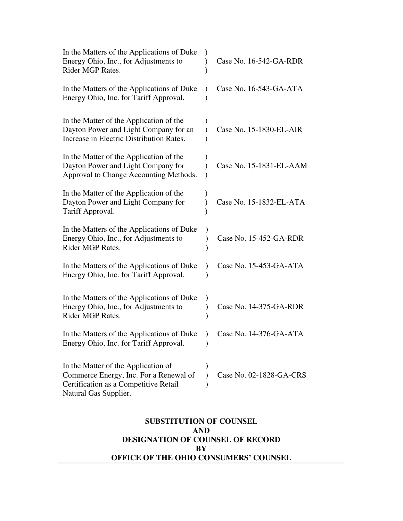| In the Matters of the Applications of Duke<br>Energy Ohio, Inc., for Adjustments to<br>Rider MGP Rates.                                         | Case No. 16-542-GA-RDR  |
|-------------------------------------------------------------------------------------------------------------------------------------------------|-------------------------|
| In the Matters of the Applications of Duke<br>Energy Ohio, Inc. for Tariff Approval.                                                            | Case No. 16-543-GA-ATA  |
| In the Matter of the Application of the<br>Dayton Power and Light Company for an<br>Increase in Electric Distribution Rates.                    | Case No. 15-1830-EL-AIR |
| In the Matter of the Application of the<br>Dayton Power and Light Company for<br>Approval to Change Accounting Methods.                         | Case No. 15-1831-EL-AAM |
| In the Matter of the Application of the<br>Dayton Power and Light Company for<br>Tariff Approval.                                               | Case No. 15-1832-EL-ATA |
| In the Matters of the Applications of Duke<br>Energy Ohio, Inc., for Adjustments to<br>Rider MGP Rates.                                         | Case No. 15-452-GA-RDR  |
| In the Matters of the Applications of Duke<br>Energy Ohio, Inc. for Tariff Approval.                                                            | Case No. 15-453-GA-ATA  |
| In the Matters of the Applications of Duke<br>Energy Ohio, Inc., for Adjustments to<br>Rider MGP Rates.                                         | Case No. 14-375-GA-RDR  |
| In the Matters of the Applications of Duke<br>Energy Ohio, Inc. for Tariff Approval.                                                            | Case No. 14-376-GA-ATA  |
| In the Matter of the Application of<br>Commerce Energy, Inc. For a Renewal of<br>Certification as a Competitive Retail<br>Natural Gas Supplier. | Case No. 02-1828-GA-CRS |

## **SUBSTITUTION OF COUNSEL AND DESIGNATION OF COUNSEL OF RECORD BY OFFICE OF THE OHIO CONSUMERS' COUNSEL**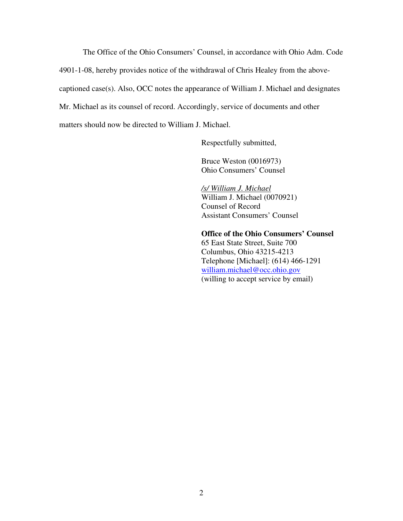The Office of the Ohio Consumers' Counsel, in accordance with Ohio Adm. Code 4901-1-08, hereby provides notice of the withdrawal of Chris Healey from the abovecaptioned case(s). Also, OCC notes the appearance of William J. Michael and designates Mr. Michael as its counsel of record. Accordingly, service of documents and other matters should now be directed to William J. Michael.

Respectfully submitted,

Bruce Weston (0016973) Ohio Consumers' Counsel

*/s/ William J. Michael*  William J. Michael (0070921) Counsel of Record Assistant Consumers' Counsel

**Office of the Ohio Consumers' Counsel**  65 East State Street, Suite 700 Columbus, Ohio 43215-4213 Telephone [Michael]: (614) 466-1291 william.michael@occ.ohio.gov (willing to accept service by email)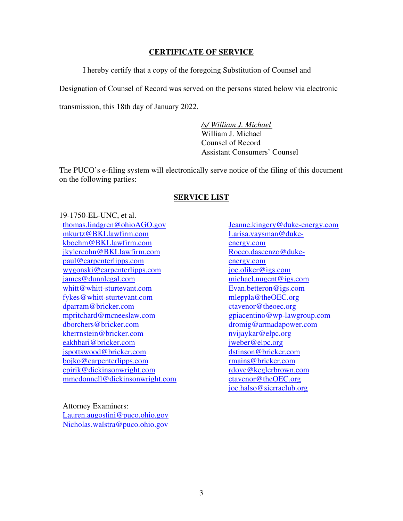## **CERTIFICATE OF SERVICE**

I hereby certify that a copy of the foregoing Substitution of Counsel and

Designation of Counsel of Record was served on the persons stated below via electronic

transmission, this 18th day of January 2022.

*/s/ William J. Michael*  William J. Michael Counsel of Record Assistant Consumers' Counsel

The PUCO's e-filing system will electronically serve notice of the filing of this document on the following parties:

## **SERVICE LIST**

19-1750-EL-UNC, et al. thomas.lindgren@ohioAGO.gov mkurtz@BKLlawfirm.com kboehm@BKLlawfirm.com jkylercohn@BKLlawfirm.com paul@carpenterlipps.com wygonski@carpenterlipps.com james@dunnlegal.com whitt@whitt-sturtevant.com fykes@whitt-sturtevant.com dparram@bricker.com mpritchard@mcneeslaw.com dborchers@bricker.com kherrnstein@bricker.com eakhbari@bricker.com jspottswood@bricker.com bojko@carpenterlipps.com cpirik@dickinsonwright.com mmcdonnell@dickinsonwright.com

Attorney Examiners: Lauren.augostini@puco.ohio.gov Nicholas.walstra@puco.ohio.gov

Jeanne.kingery@duke-energy.com Larisa.vaysman@dukeenergy.com Rocco.dascenzo@dukeenergy.com joe.oliker@igs.com michael.nugent@igs.com Evan.betteron@igs.com mleppla@theOEC.org ctavenor@theoec.org gpiacentino@wp-lawgroup.com dromig@armadapower.com nvijaykar@elpc.org jweber@elpc.org dstinson@bricker.com rmains@bricker.com rdove@keglerbrown.com ctavenor@theOEC.org joe.halso@sierraclub.org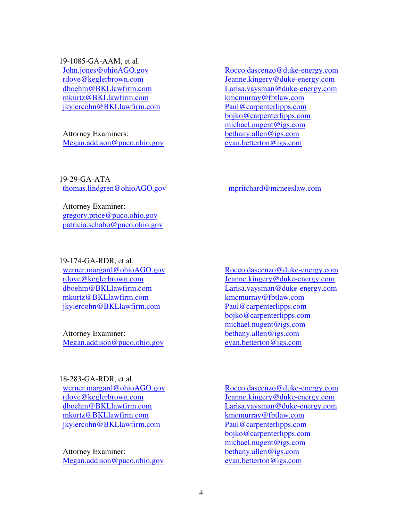19-1085-GA-AAM, et al.

John.jones@ohioAGO.gov rdove@keglerbrown.com dboehm@BKLlawfirm.com mkurtz@BKLlawfirm.com jkylercohn@BKLlawfirm.com

Attorney Examiners: Megan.addison@puco.ohio.gov Rocco.dascenzo@duke-energy.com Jeanne.kingery@duke-energy.com Larisa.vaysman@duke-energy.com kmcmurray@fbtlaw.com Paul@carpenterlipps.com bojko@carpenterlipps.com michael.nugent@igs.com bethany.allen@igs.com evan.betterton@igs.com

19-29-GA-ATA thomas.lindgren@ohioAGO.gov

Attorney Examiner: gregory.price@puco.ohio.gov patricia.schabo@puco.ohio.gov

19-174-GA-RDR, et al. werner.margard@ohioAGO.gov rdove@keglerbrown.com dboehm@BKLlawfirm.com mkurtz@BKLlawfirm.com jkylercohn@BKLlawfirm.com

Attorney Examiner: Megan.addison@puco.ohio.gov

18-283-GA-RDR, et al. werner.margard@ohioAGO.gov rdove@keglerbrown.com dboehm@BKLlawfirm.com mkurtz@BKLlawfirm.com jkylercohn@BKLlawfirm.com

Attorney Examiner: Megan.addison@puco.ohio.gov mpritchard@mcneeslaw.com

Rocco.dascenzo@duke-energy.com Jeanne.kingery@duke-energy.com Larisa.vaysman@duke-energy.com kmcmurray@fbtlaw.com Paul@carpenterlipps.com bojko@carpenterlipps.com michael.nugent@igs.com bethany.allen@igs.com evan.betterton@igs.com

Rocco.dascenzo@duke-energy.com Jeanne.kingery@duke-energy.com Larisa.vaysman@duke-energy.com kmcmurray@fbtlaw.com Paul@carpenterlipps.com bojko@carpenterlipps.com michael.nugent@igs.com bethany.allen@igs.com evan.betterton@igs.com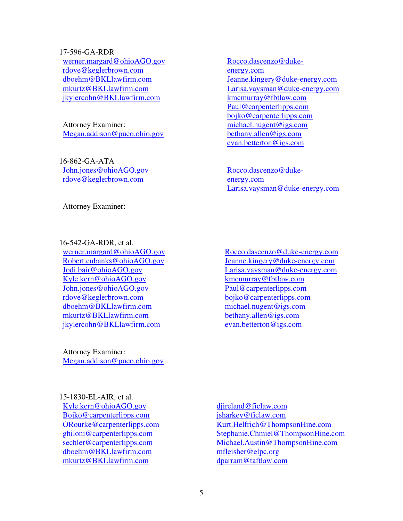17-596-GA-RDR

werner.margard@ohioAGO.gov rdove@keglerbrown.com dboehm@BKLlawfirm.com mkurtz@BKLlawfirm.com jkylercohn@BKLlawfirm.com

Attorney Examiner: Megan.addison@puco.ohio.gov

16-862-GA-ATA John.jones@ohioAGO.gov rdove@keglerbrown.com

Attorney Examiner:

16-542-GA-RDR, et al.

werner.margard@ohioAGO.gov Robert.eubanks@ohioAGO.gov Jodi.bair@ohioAGO.gov Kyle.kern@ohioAGO.gov John.jones@ohioAGO.gov rdove@keglerbrown.com dboehm@BKLlawfirm.com mkurtz@BKLlawfirm.com jkylercohn@BKLlawfirm.com

Attorney Examiner: Megan.addison@puco.ohio.gov

15-1830-EL-AIR, et al.

Kyle.kern@ohioAGO.gov Bojko@carpenterlipps.com ORourke@carpenterlipps.com ghiloni@carpenterlipps.com sechler@carpenterlipps.com dboehm@BKLlawfirm.com mkurtz@BKLlawfirm.com

Rocco.dascenzo@dukeenergy.com Jeanne.kingery@duke-energy.com Larisa.vaysman@duke-energy.com kmcmurray@fbtlaw.com Paul@carpenterlipps.com bojko@carpenterlipps.com michael.nugent@igs.com bethany.allen@igs.com evan.betterton@igs.com

Rocco.dascenzo@dukeenergy.com Larisa.vaysman@duke-energy.com

Rocco.dascenzo@duke-energy.com Jeanne.kingery@duke-energy.com Larisa.vaysman@duke-energy.com kmcmurray@fbtlaw.com Paul@carpenterlipps.com bojko@carpenterlipps.com michael.nugent@igs.com bethany.allen@igs.com evan.betterton@igs.com

diireland@ficlaw.com jsharkey@ficlaw.com Kurt.Helfrich@ThompsonHine.com Stephanie.Chmiel@ThompsonHine.com Michael.Austin@ThompsonHine.com mfleisher@elpc.org dparram@taftlaw.com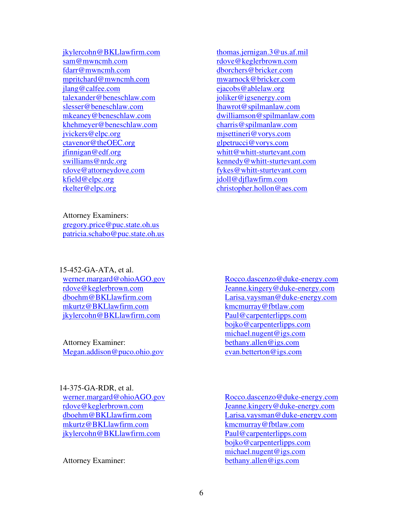jkylercohn@BKLlawfirm.com sam@mwncmh.com fdarr@mwncmh.com mpritchard@mwncmh.com jlang@calfee.com talexander@beneschlaw.com slesser@beneschlaw.com mkeaney@beneschlaw.com khehmeyer@beneschlaw.com jvickers@elpc.org ctavenor@theOEC.org jfinnigan@edf.org swilliams@nrdc.org rdove@attorneydove.com kfield@elpc.org rkelter@elpc.org

thomas.jernigan.3@us.af.mil rdove@keglerbrown.com dborchers@bricker.com mwarnock@bricker.com ejacobs@ablelaw.org joliker@igsenergy.com lhawrot@spilmanlaw.com dwilliamson@spilmanlaw.com charris@spilmanlaw.com mjsettineri@vorys.com glpetrucci@vorys.com whitt@whitt-sturtevant.com kennedy@whitt-sturtevant.com fykes@whitt-sturtevant.com jdoll@djflawfirm.com christopher.hollon@aes.com

Attorney Examiners: gregory.price@puc.state.oh.us patricia.schabo@puc.state.oh.us

15-452-GA-ATA, et al. werner.margard@ohioAGO.gov rdove@keglerbrown.com dboehm@BKLlawfirm.com mkurtz@BKLlawfirm.com jkylercohn@BKLlawfirm.com

Attorney Examiner: Megan.addison@puco.ohio.gov

14-375-GA-RDR, et al. werner.margard@ohioAGO.gov rdove@keglerbrown.com dboehm@BKLlawfirm.com mkurtz@BKLlawfirm.com jkylercohn@BKLlawfirm.com

Attorney Examiner:

Rocco.dascenzo@duke-energy.com Jeanne.kingery@duke-energy.com Larisa.vaysman@duke-energy.com kmcmurray@fbtlaw.com Paul@carpenterlipps.com bojko@carpenterlipps.com michael.nugent@igs.com bethany.allen@igs.com evan.betterton@igs.com

Rocco.dascenzo@duke-energy.com Jeanne.kingery@duke-energy.com Larisa.vaysman@duke-energy.com kmcmurray@fbtlaw.com Paul@carpenterlipps.com bojko@carpenterlipps.com michael.nugent@igs.com bethany.allen@igs.com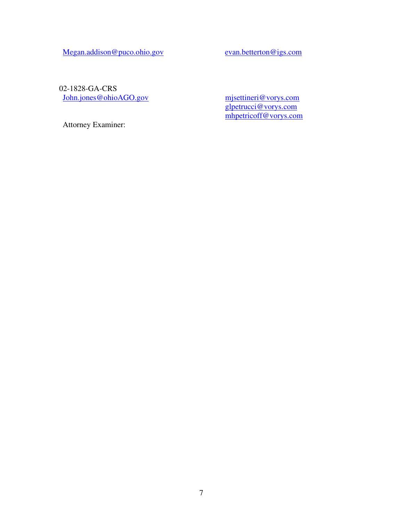Megan.addison@puco.ohio.gov evan.betterton@igs.com

02-1828-GA-CRS John.jones@ohioAGO.gov

mjsettineri@vorys.com glpetrucci@vorys.com mhpetricoff@vorys.com

Attorney Examiner: